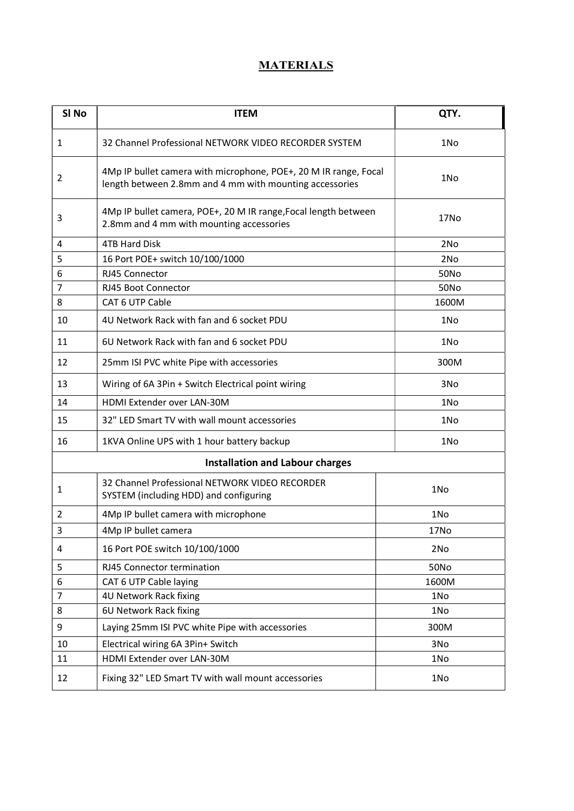## **MATERIALS**

| SI <sub>No</sub>                       | <b>ITEM</b>                                                                                                                 | QTY.            |
|----------------------------------------|-----------------------------------------------------------------------------------------------------------------------------|-----------------|
| 1                                      | 32 Channel Professional NETWORK VIDEO RECORDER SYSTEM                                                                       | 1No             |
| 2                                      | 4Mp IP bullet camera with microphone, POE+, 20 M IR range, Focal<br>length between 2.8mm and 4 mm with mounting accessories | 1No             |
| 3                                      | 4Mp IP bullet camera, POE+, 20 M IR range, Focal length between<br>2.8mm and 4 mm with mounting accessories                 | 17No            |
| 4                                      | <b>4TB Hard Disk</b>                                                                                                        | 2No             |
| 5                                      | 16 Port POE+ switch 10/100/1000                                                                                             | 2No             |
| 6                                      | RJ45 Connector                                                                                                              | 50No            |
| 7                                      | RJ45 Boot Connector                                                                                                         | <b>50No</b>     |
| 8                                      | CAT 6 UTP Cable                                                                                                             | 1600M           |
| 10                                     | 4U Network Rack with fan and 6 socket PDU                                                                                   | 1N <sub>o</sub> |
| 11                                     | 6U Network Rack with fan and 6 socket PDU                                                                                   | 1N <sub>o</sub> |
| 12                                     | 25mm ISI PVC white Pipe with accessories                                                                                    | 300M            |
| 13                                     | Wiring of 6A 3Pin + Switch Electrical point wiring                                                                          | 3No             |
| 14                                     | HDMI Extender over LAN-30M                                                                                                  | 1No             |
| 15                                     | 32" LED Smart TV with wall mount accessories                                                                                | 1No             |
| 16                                     | 1KVA Online UPS with 1 hour battery backup                                                                                  | 1N <sub>o</sub> |
| <b>Installation and Labour charges</b> |                                                                                                                             |                 |
| 1                                      | 32 Channel Professional NETWORK VIDEO RECORDER<br>SYSTEM (including HDD) and configuring                                    | 1No             |
| 2                                      | 4Mp IP bullet camera with microphone                                                                                        | 1No             |
| 3                                      | 4Mp IP bullet camera                                                                                                        | 17No            |
| 4                                      | 16 Port POE switch 10/100/1000                                                                                              | 2No             |
| 5                                      | RJ45 Connector termination                                                                                                  | <b>50No</b>     |
| 6                                      | CAT 6 UTP Cable laying                                                                                                      | 1600M           |
| 7                                      | 4U Network Rack fixing                                                                                                      | 1No             |
| 8                                      | 6U Network Rack fixing                                                                                                      | 1No             |
| 9                                      | Laying 25mm ISI PVC white Pipe with accessories                                                                             | 300M            |
| 10                                     | Electrical wiring 6A 3Pin+ Switch                                                                                           | 3No             |
| 11                                     | HDMI Extender over LAN-30M                                                                                                  | 1No             |
| 12                                     | Fixing 32" LED Smart TV with wall mount accessories                                                                         | 1No             |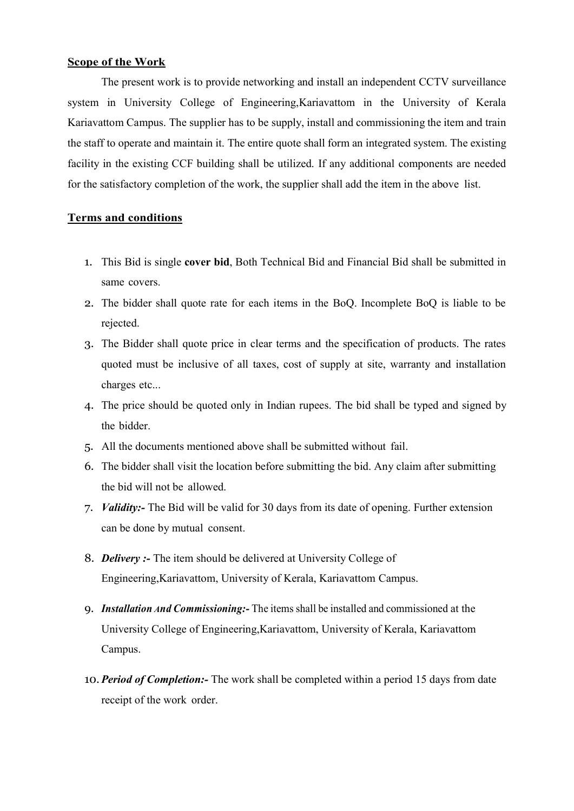## Scope of the Work

The present work is to provide networking and install an independent CCTV surveillance system in University College of Engineering,Kariavattom in the University of Kerala Kariavattom Campus. The supplier has to be supply, install and commissioning the item and train the staff to operate and maintain it. The entire quote shall form an integrated system. The existing facility in the existing CCF building shall be utilized. If any additional components are needed for the satisfactory completion of the work, the supplier shall add the item in the above list.

## Terms and conditions

- 1. This Bid is single cover bid, Both Technical Bid and Financial Bid shall be submitted in same covers.
- 2. The bidder shall quote rate for each items in the BoQ. Incomplete BoQ is liable to be rejected.
- 3. The Bidder shall quote price in clear terms and the specification of products. The rates quoted must be inclusive of all taxes, cost of supply at site, warranty and installation charges etc...
- 4. The price should be quoted only in Indian rupees. The bid shall be typed and signed by the bidder.
- 5. All the documents mentioned above shall be submitted without fail.
- 6. The bidder shall visit the location before submitting the bid. Any claim after submitting the bid will not be allowed.
- 7. *Validity*: The Bid will be valid for 30 days from its date of opening. Further extension can be done by mutual consent.
- 8. Delivery :- The item should be delivered at University College of Engineering,Kariavattom, University of Kerala, Kariavattom Campus.
- 9. Installation And Commissioning: The items shall be installed and commissioned at the University College of Engineering,Kariavattom, University of Kerala, Kariavattom Campus.
- 10. Period of Completion:- The work shall be completed within a period 15 days from date receipt of the work order.